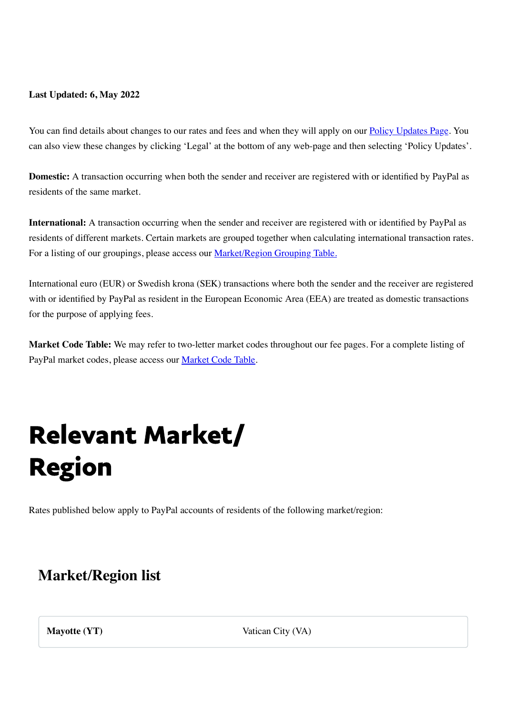#### **Last Updated: 6, May 2022**

You can find details about changes to our rates and fees and when they will apply on our [Policy Updates Page.](https://www.www.paypal.com/va/webapps/mpp/ua/useragreement-full?locale.x=en_VA) You can also view these changes by clicking 'Legal' at the bottom of any web-page and then selecting 'Policy Updates'.

<span id="page-0-0"></span>**Domestic:** A transaction occurring when both the sender and receiver are registered with or identified by PayPal as residents of the same market.

**International:** A transaction occurring when the sender and receiver are registered with or identified by PayPal as residents of different markets. Certain markets are grouped together when calculating international transaction rates. For a listing of our groupings, please access our **[Market/Region Grouping Table.](#page-0-0)** 

International euro (EUR) or Swedish krona (SEK) transactions where both the sender and the receiver are registered with or identified by PayPal as resident in the European Economic Area (EEA) are treated as domestic transactions for the purpose of applying fees.

**Market Code Table:** We may refer to two-letter market codes throughout our fee pages. For a complete listing of PayPal market codes, please access our [Market Code Table](#page-0-0).

## Relevant Market/ Region

Rates published below apply to PayPal accounts of residents of the following market/region:

### **Market/Region list**

**Mayotte (YT)** Vatican City (VA)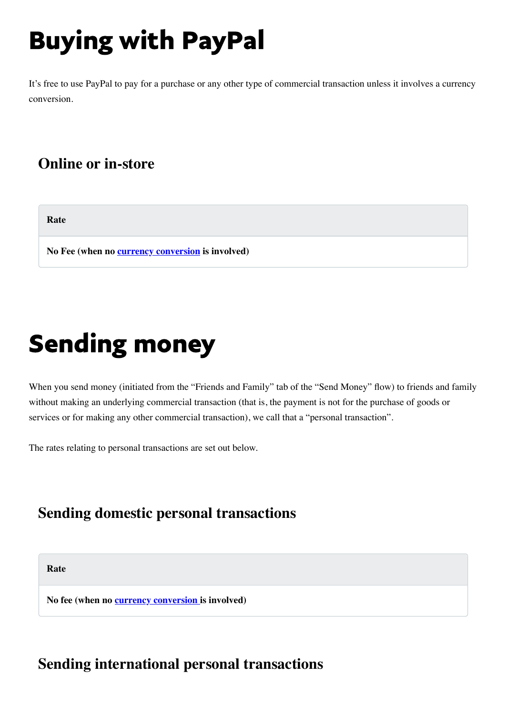# Buying with PayPal

It's free to use PayPal to pay for a purchase or any other type of commercial transaction unless it involves a currency conversion.

### **Online or in-store**

**Rate**

**No Fee (when no [currency conversion](#page-4-0) is involved)**

## Sending money

When you send money (initiated from the "Friends and Family" tab of the "Send Money" flow) to friends and family without making an underlying commercial transaction (that is, the payment is not for the purchase of goods or services or for making any other commercial transaction), we call that a "personal transaction".

The rates relating to personal transactions are set out below.

### **Sending domestic personal transactions**

**Rate**

**No fee (when no [currency conversion i](#page-4-0)s involved)**

### **Sending international personal transactions**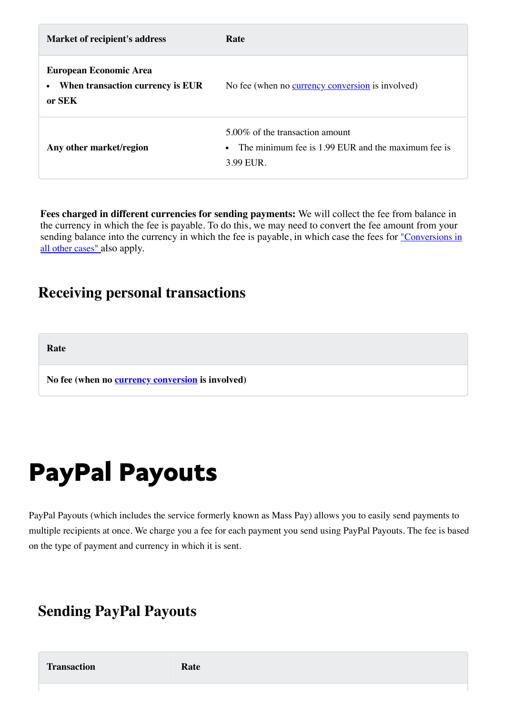| Market of recipient's address                                                            | Rate                                                                                                            |
|------------------------------------------------------------------------------------------|-----------------------------------------------------------------------------------------------------------------|
| <b>European Economic Area</b><br>When transaction currency is EUR<br>$\bullet$<br>or SEK | No fee (when no currency conversion is involved)                                                                |
| Any other market/region                                                                  | 5.00% of the transaction amount<br>The minimum fee is 1.99 EUR and the maximum fee is<br>$\bullet$<br>3.99 EUR. |

**Fees charged in different currencies for sending payments:** We will collect the fee from balance in the currency in which the fee is payable. To do this, we may need to convert the fee amount from your [sending balance into the currency in which the fee is payable, in which case the fees for](#page-5-0) "Conversions in all other cases" also apply.

### **Receiving personal transactions**

**Rate**

**No fee (when no [currency conversion](#page-4-0) is involved)**

### PayPal Payouts

PayPal Payouts (which includes the service formerly known as Mass Pay) allows you to easily send payments to multiple recipients at once. We charge you a fee for each payment you send using PayPal Payouts. The fee is based on the type of payment and currency in which it is sent.

### **Sending PayPal Payouts**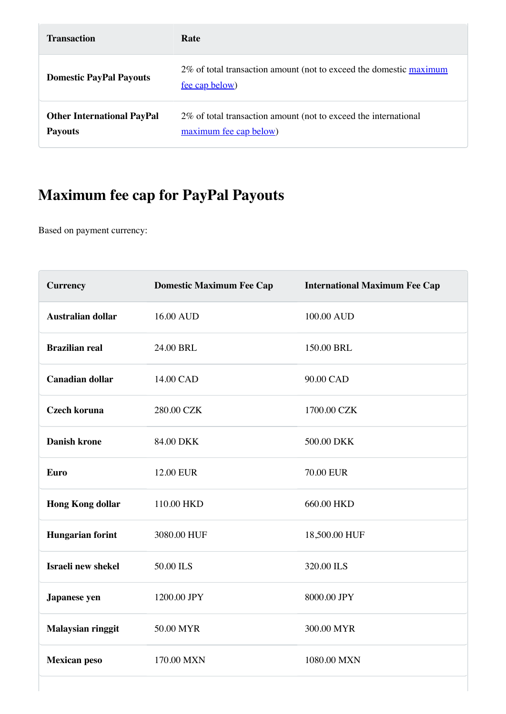| <b>Transaction</b>                                  | Rate                                                                                      |
|-----------------------------------------------------|-------------------------------------------------------------------------------------------|
| <b>Domestic PayPal Payouts</b>                      | 2% of total transaction amount (not to exceed the domestic maximum<br>fee cap below)      |
| <b>Other International PayPal</b><br><b>Payouts</b> | 2% of total transaction amount (not to exceed the international<br>maximum fee cap below) |

### <span id="page-3-0"></span>**Maximum fee cap for PayPal Payouts**

Based on payment currency:

| <b>Currency</b>          | <b>Domestic Maximum Fee Cap</b> | <b>International Maximum Fee Cap</b> |
|--------------------------|---------------------------------|--------------------------------------|
| <b>Australian dollar</b> | 16.00 AUD                       | 100.00 AUD                           |
| <b>Brazilian real</b>    | 24.00 BRL                       | 150.00 BRL                           |
| <b>Canadian dollar</b>   | 14.00 CAD                       | 90.00 CAD                            |
| <b>Czech koruna</b>      | 280.00 CZK                      | 1700.00 CZK                          |
| <b>Danish krone</b>      | 84.00 DKK                       | 500.00 DKK                           |
| <b>Euro</b>              | <b>12.00 EUR</b>                | <b>70.00 EUR</b>                     |
| <b>Hong Kong dollar</b>  | 110.00 HKD                      | 660.00 HKD                           |
| <b>Hungarian forint</b>  | 3080.00 HUF                     | 18,500.00 HUF                        |
| Israeli new shekel       | 50.00 ILS                       | 320.00 ILS                           |
| Japanese yen             | 1200.00 JPY                     | 8000.00 JPY                          |
| Malaysian ringgit        | 50.00 MYR                       | 300.00 MYR                           |
| <b>Mexican peso</b>      | 170.00 MXN                      | 1080.00 MXN                          |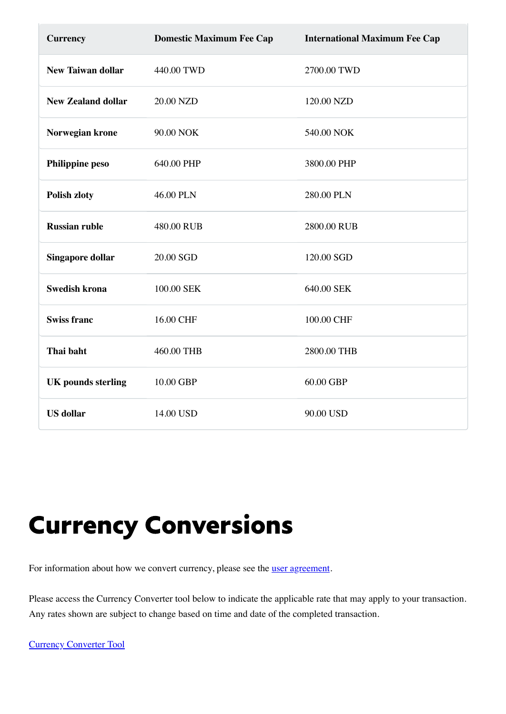| <b>Currency</b>           | <b>Domestic Maximum Fee Cap</b> | <b>International Maximum Fee Cap</b> |
|---------------------------|---------------------------------|--------------------------------------|
| <b>New Taiwan dollar</b>  | 440.00 TWD                      | 2700.00 TWD                          |
| <b>New Zealand dollar</b> | 20.00 NZD                       | 120.00 NZD                           |
| Norwegian krone           | 90.00 NOK                       | 540.00 NOK                           |
| <b>Philippine peso</b>    | 640.00 PHP                      | 3800.00 PHP                          |
| <b>Polish zloty</b>       | 46.00 PLN                       | 280.00 PLN                           |
| <b>Russian ruble</b>      | 480.00 RUB                      | 2800.00 RUB                          |
| <b>Singapore dollar</b>   | 20.00 SGD                       | 120.00 SGD                           |
| <b>Swedish krona</b>      | 100.00 SEK                      | 640.00 SEK                           |
| <b>Swiss franc</b>        | 16.00 CHF                       | 100.00 CHF                           |
| Thai baht                 | 460.00 THB                      | 2800.00 THB                          |
| <b>UK</b> pounds sterling | 10.00 GBP                       | 60.00 GBP                            |
| <b>US</b> dollar          | 14.00 USD                       | 90.00 USD                            |

## <span id="page-4-0"></span>Currency Conversions

For information about how we convert currency, please see the <u>[user agreement](https://www.www.paypal.com/va/webapps/mpp/ua/useragreement-full?locale.x=en_VA#currency-conversion1)</u>.

Please access the Currency Converter tool below to indicate the applicable rate that may apply to your transaction. Any rates shown are subject to change based on time and date of the completed transaction.

[Currency Converter Tool](https://www.paypal.com/va/smarthelp/article/faq1976)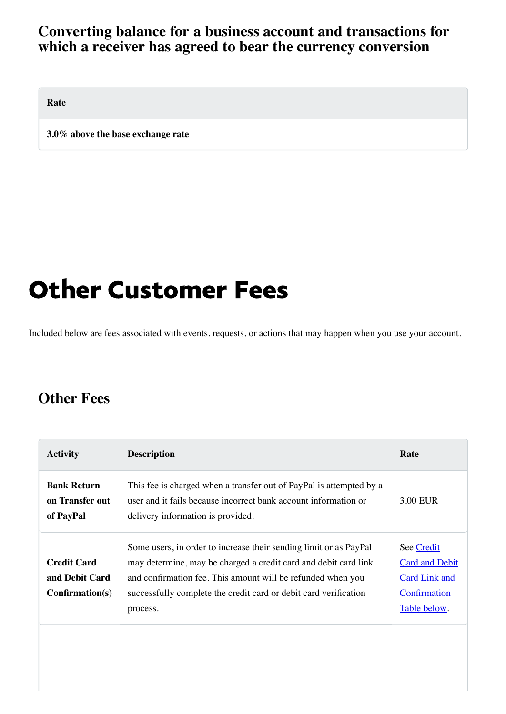#### **Converting balance for a business account and transactions for which a receiver has agreed to bear the currency conversion**

<span id="page-5-0"></span>**Rate**

**3.0% above the base exchange rate**

### Other Customer Fees

Included below are fees associated with events, requests, or actions that may happen when you use your account.

### **Other Fees**

| <b>Activity</b>                                           | <b>Description</b>                                                                                                                                                                                                                                                                  | Rate                                                                                        |
|-----------------------------------------------------------|-------------------------------------------------------------------------------------------------------------------------------------------------------------------------------------------------------------------------------------------------------------------------------------|---------------------------------------------------------------------------------------------|
| <b>Bank Return</b><br>on Transfer out<br>of PayPal        | This fee is charged when a transfer out of PayPal is attempted by a<br>user and it fails because incorrect bank account information or<br>delivery information is provided.                                                                                                         | 3.00 EUR                                                                                    |
| <b>Credit Card</b><br>and Debit Card<br>$Confirmation(s)$ | Some users, in order to increase their sending limit or as PayPal<br>may determine, may be charged a credit card and debit card link<br>and confirmation fee. This amount will be refunded when you<br>successfully complete the credit card or debit card verification<br>process. | See Credit<br><b>Card and Debit</b><br><b>Card Link and</b><br>Confirmation<br>Table below. |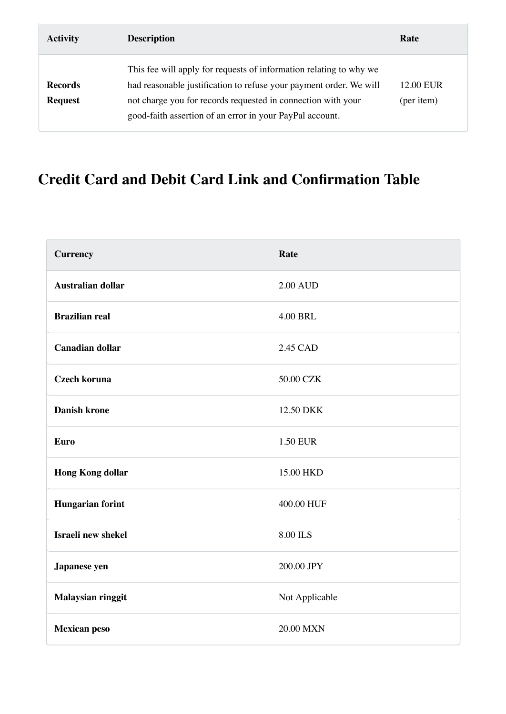<span id="page-6-0"></span>

| <b>Activity</b>                  | <b>Description</b>                                                                                                                                                                                                                                                   | Rate                    |
|----------------------------------|----------------------------------------------------------------------------------------------------------------------------------------------------------------------------------------------------------------------------------------------------------------------|-------------------------|
| <b>Records</b><br><b>Request</b> | This fee will apply for requests of information relating to why we<br>had reasonable justification to refuse your payment order. We will<br>not charge you for records requested in connection with your<br>good-faith assertion of an error in your PayPal account. | 12.00 EUR<br>(per item) |

### **Credit Card and Debit Card Link and Confirmation Table**

| <b>Currency</b>          | Rate            |
|--------------------------|-----------------|
| <b>Australian dollar</b> | <b>2.00 AUD</b> |
| <b>Brazilian real</b>    | <b>4.00 BRL</b> |
| <b>Canadian dollar</b>   | 2.45 CAD        |
| <b>Czech koruna</b>      | 50.00 CZK       |
| <b>Danish krone</b>      | 12.50 DKK       |
| <b>Euro</b>              | <b>1.50 EUR</b> |
| <b>Hong Kong dollar</b>  | 15.00 HKD       |
| <b>Hungarian forint</b>  | 400.00 HUF      |
| Israeli new shekel       | 8.00 ILS        |
| Japanese yen             | 200.00 JPY      |
| Malaysian ringgit        | Not Applicable  |
| <b>Mexican peso</b>      | 20.00 MXN       |